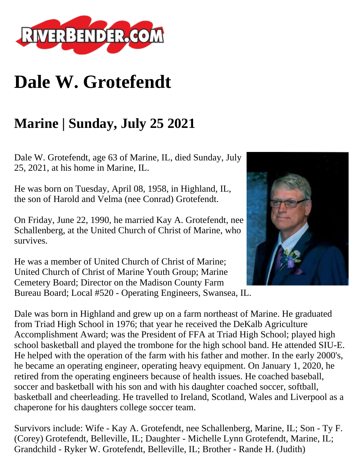

## **Dale W. Grotefendt**

## **Marine | Sunday, July 25 2021**

Dale W. Grotefendt, age 63 of Marine, IL, died Sunday, July 25, 2021, at his home in Marine, IL.

He was born on Tuesday, April 08, 1958, in Highland, IL, the son of Harold and Velma (nee Conrad) Grotefendt.

On Friday, June 22, 1990, he married Kay A. Grotefendt, nee Schallenberg, at the United Church of Christ of Marine, who survives.

He was a member of United Church of Christ of Marine; United Church of Christ of Marine Youth Group; Marine Cemetery Board; Director on the Madison County Farm Bureau Board; Local #520 - Operating Engineers, Swansea, IL.

Dale was born in Highland and grew up on a farm northeast of Marine. He graduated from Triad High School in 1976; that year he received the DeKalb Agriculture Accomplishment Award; was the President of FFA at Triad High School; played high school basketball and played the trombone for the high school band. He attended SIU-E. He helped with the operation of the farm with his father and mother. In the early 2000's, he became an operating engineer, operating heavy equipment. On January 1, 2020, he retired from the operating engineers because of health issues. He coached baseball, soccer and basketball with his son and with his daughter coached soccer, softball, basketball and cheerleading. He travelled to Ireland, Scotland, Wales and Liverpool as a chaperone for his daughters college soccer team.

Survivors include: Wife - Kay A. Grotefendt, nee Schallenberg, Marine, IL; Son - Ty F. (Corey) Grotefendt, Belleville, IL; Daughter - Michelle Lynn Grotefendt, Marine, IL; Grandchild - Ryker W. Grotefendt, Belleville, IL; Brother - Rande H. (Judith)